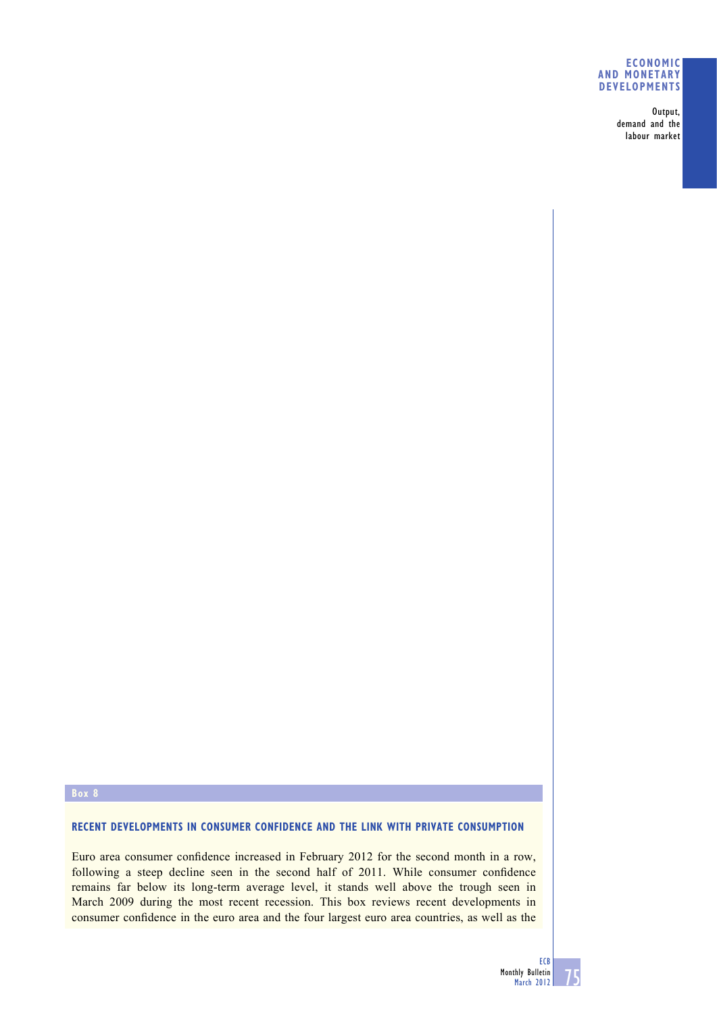## **ECONOMIC AND MONETARY DEVELOPMENTS**

Output, demand and the labour market

### **Box 8**

# **RECENT DEVELOPMENTS IN CONSUMER CONFIDENCE AND THE LINK WITH PRIVATE CONSUMPTION**

Euro area consumer confidence increased in February 2012 for the second month in a row, following a steep decline seen in the second half of 2011. While consumer confidence remains far below its long-term average level, it stands well above the trough seen in March 2009 during the most recent recession. This box reviews recent developments in consumer confidence in the euro area and the four largest euro area countries, as well as the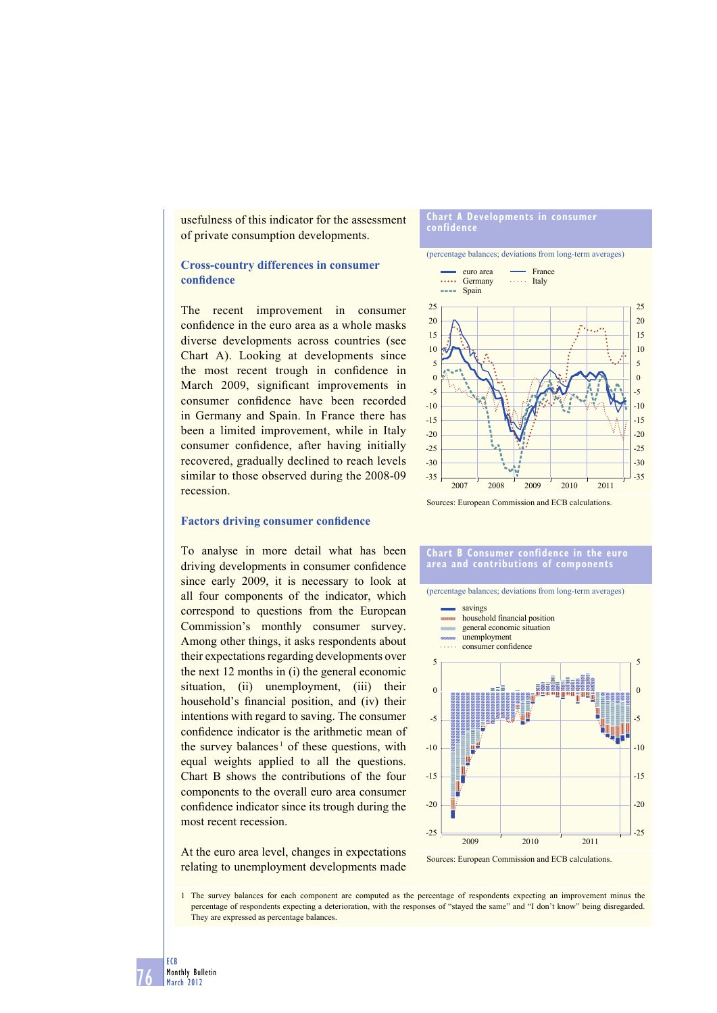usefulness of this indicator for the assessment of private consumption developments.

## **Cross-country differences in consumer**  confidence

The recent improvement in consumer confidence in the euro area as a whole masks diverse developments across countries (see Chart A). Looking at developments since the most recent trough in confidence in March 2009, significant improvements in consumer confidence have been recorded in Germany and Spain. In France there has been a limited improvement, while in Italy consumer confidence, after having initially recovered, gradually declined to reach levels similar to those observed during the 2008-09 recession.

#### **Chart A Developments in consumer confidence**

(percentage balances; deviations from long-term averages)



## **Factors driving consumer confidence**

To analyse in more detail what has been driving developments in consumer confidence since early 2009, it is necessary to look at all four components of the indicator, which correspond to questions from the European Commission's monthly consumer survey. Among other things, it asks respondents about their expectations regarding developments over the next 12 months in (i) the general economic situation, (ii) unemployment, (iii) their household's financial position, and (iv) their intentions with regard to saving. The consumer confidence indicator is the arithmetic mean of the survey balances<sup>1</sup> of these questions, with equal weights applied to all the questions. Chart B shows the contributions of the four components to the overall euro area consumer confidence indicator since its trough during the most recent recession.

**Chart B Consumer confidence in the euro area and contributions of components**

(percentage balances; deviations from long-term averages)



At the euro area level, changes in expectations relating to unemployment developments made

Sources: European Commission and ECB calculations.

1 The survey balances for each component are computed as the percentage of respondents expecting an improvement minus the percentage of respondents expecting a deterioration, with the responses of "stayed the same" and "I don't know" being disregarded. They are expressed as percentage balances.

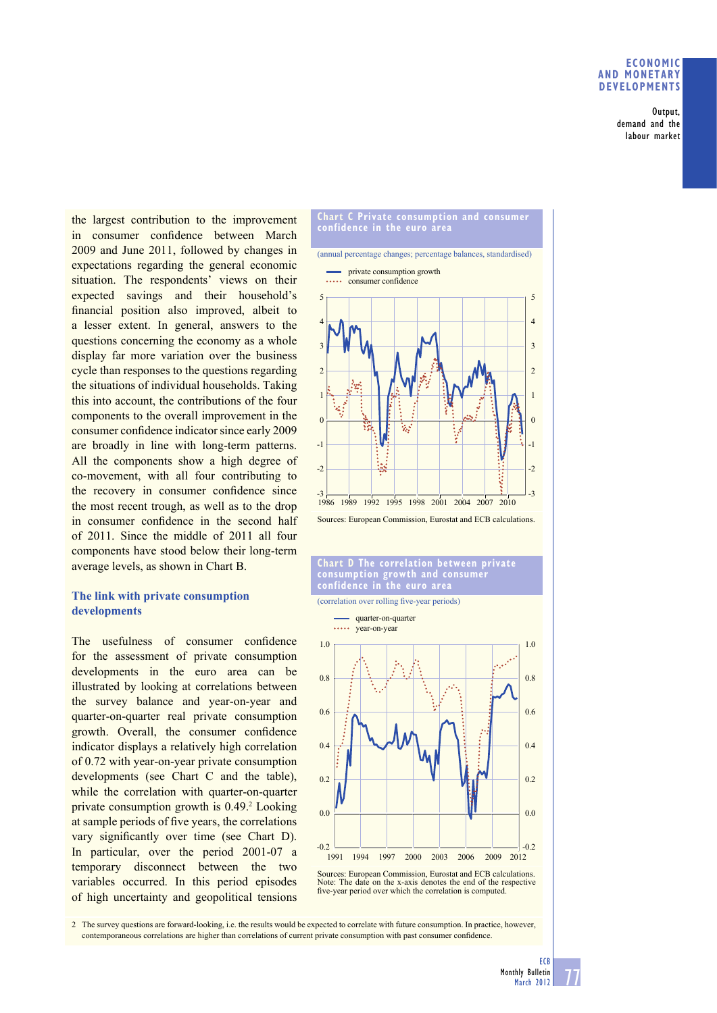## **ECONOMIC AND MONETARY DEVELOPMENTS**

Output, demand and the labour market

the largest contribution to the improvement in consumer confidence between March 2009 and June 2011, followed by changes in expectations regarding the general economic situation. The respondents' views on their expected savings and their household's financial position also improved, albeit to a lesser extent. In general, answers to the questions concerning the economy as a whole display far more variation over the business cycle than responses to the questions regarding the situations of individual households. Taking this into account, the contributions of the four components to the overall improvement in the consumer confidence indicator since early 2009 are broadly in line with long-term patterns. All the components show a high degree of co-movement, with all four contributing to the recovery in consumer confidence since the most recent trough, as well as to the drop in consumer confidence in the second half of 2011. Since the middle of 2011 all four components have stood below their long-term average levels, as shown in Chart B.

## **The link with private consumption developments**

The usefulness of consumer confidence for the assessment of private consumption developments in the euro area can be illustrated by looking at correlations between the survey balance and year-on-year and quarter-on-quarter real private consumption growth. Overall, the consumer confidence indicator displays a relatively high correlation of 0.72 with year-on-year private consumption developments (see Chart C and the table), while the correlation with quarter-on-quarter private consumption growth is 0.49.<sup>2</sup> Looking at sample periods of five years, the correlations vary significantly over time (see Chart D). In particular, over the period 2001-07 a temporary disconnect between the two variables occurred. In this period episodes of high uncertainty and geopolitical tensions







Sources: European Commission, Eurostat and ECB calculations. Note: The date on the x-axis denotes the end of the respective five-year period over which the correlation is computed.

2 The survey questions are forward-looking, i.e. the results would be expected to correlate with future consumption. In practice, however, contemporaneous correlations are higher than correlations of current private consumption with past consumer confidence.